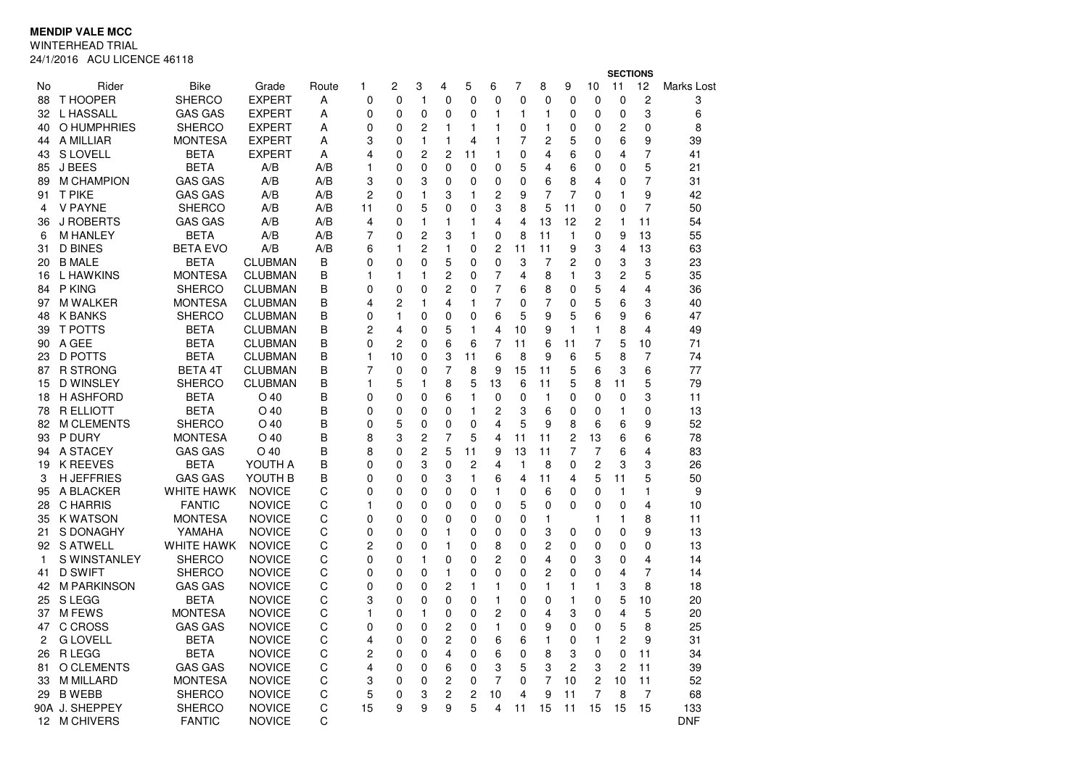**MENDIP VALE MCC**

WINTERHEAD TRIAL

24/1/2016 ACU LICENCE 46118

|                |                     |                 |                |       |                |    |                |                |             |                |                         |                         |              | <b>SECTIONS</b> |                |                         |            |  |
|----------------|---------------------|-----------------|----------------|-------|----------------|----|----------------|----------------|-------------|----------------|-------------------------|-------------------------|--------------|-----------------|----------------|-------------------------|------------|--|
| No             | Rider               | <b>Bike</b>     | Grade          | Route | 1              | 2  | 3              | 4              | 5           | 6              | $\overline{7}$          | 8                       | 9            | 10              | 11             | 12                      | Marks Lost |  |
| 88             | T HOOPER            | SHERCO          | <b>EXPERT</b>  | A     | 0              | 0  | $\mathbf{1}$   | 0              | 0           | 0              | 0                       | 0                       | $\mathbf 0$  | 0               | 0              | $\overline{c}$          | 3          |  |
| 32             | L HASSALL           | <b>GAS GAS</b>  | <b>EXPERT</b>  | A     | 0              | 0  | $\mathbf 0$    | 0              | 0           | 1              | 1                       | $\mathbf{1}$            | 0            | 0               | 0              | 3                       | 6          |  |
| 40             | O HUMPHRIES         | <b>SHERCO</b>   | <b>EXPERT</b>  | A     | 0              | 0  | 2              | 1              | 1           | $\mathbf{1}$   | 0                       | 1                       | 0            | 0               | 2              | 0                       | 8          |  |
| 44             | A MILLIAR           | <b>MONTESA</b>  | <b>EXPERT</b>  | A     | 3              | 0  | $\mathbf{1}$   | 1              | 4           | 1              | 7                       | 2                       | 5            | 0               | 6              | 9                       | 39         |  |
| 43             | <b>S LOVELL</b>     | <b>BETA</b>     | <b>EXPERT</b>  | A     | 4              | 0  | $\overline{c}$ | $\overline{c}$ | 11          | $\mathbf{1}$   | 0                       | 4                       | 6            | 0               | 4              | 7                       | 41         |  |
| 85             | J BEES              | <b>BETA</b>     | A/B            | A/B   | 1              | 0  | $\mathbf 0$    | $\Omega$       | $\mathbf 0$ | 0              | 5                       | 4                       | 6            | 0               | $\Omega$       | 5                       | 21         |  |
| 89             | M CHAMPION          | <b>GAS GAS</b>  | A/B            | A/B   | 3              | 0  | 3              | 0              | 0           | 0              | 0                       | 6                       | 8            | 4               | 0              | 7                       | 31         |  |
| 91             | <b>T PIKE</b>       | <b>GAS GAS</b>  | A/B            | A/B   | $\overline{c}$ | 0  | $\mathbf{1}$   | 3              | 1           | $\overline{c}$ | 9                       | 7                       | 7            | 0               | 1              | 9                       | 42         |  |
| 4              | <b>V PAYNE</b>      | <b>SHERCO</b>   | A/B            | A/B   | 11             | 0  | 5              | $\mathbf{0}$   | 0           | 3              | 8                       | 5                       | 11           | 0               | $\Omega$       | $\overline{7}$          | 50         |  |
| 36             | <b>J ROBERTS</b>    | <b>GAS GAS</b>  | A/B            | A/B   | 4              | 0  | $\mathbf{1}$   | 1              | 1           | 4              | 4                       | 13                      | 12           | $\overline{c}$  | $\mathbf{1}$   | 11                      | 54         |  |
| 6              | <b>M HANLEY</b>     | BETA            | A/B            | A/B   | 7              | 0  | $\overline{2}$ | 3              | 1           | 0              | 8                       | 11                      | $\mathbf{1}$ | 0               | 9              | 13                      | 55         |  |
| 31             | <b>D BINES</b>      | <b>BETA EVO</b> | A/B            | A/B   | 6              | 1  | $\overline{c}$ | 1              | 0           | 2              | 11                      | 11                      | 9            | 3               | $\overline{4}$ | 13                      | 63         |  |
| 20             | <b>B MALE</b>       | <b>BETA</b>     | <b>CLUBMAN</b> | B     | 0              | 0  | $\mathbf 0$    | 5              | 0           | 0              | 3                       | 7                       | 2            | 0               | 3              | 3                       | 23         |  |
| 16             | L HAWKINS           | <b>MONTESA</b>  | <b>CLUBMAN</b> | B     | 1              | 1  | 1              | $\overline{c}$ | 0           | 7              | 4                       | 8                       | 1            | 3               | $\overline{c}$ | 5                       | 35         |  |
| 84             | P KING              | <b>SHERCO</b>   | <b>CLUBMAN</b> | B     | $\Omega$       | 0  | $\mathbf 0$    | $\overline{c}$ | 0           | 7              | 6                       | 8                       | 0            | 5               | 4              | $\overline{\mathbf{4}}$ | 36         |  |
| 97             | <b>M WALKER</b>     | <b>MONTESA</b>  | <b>CLUBMAN</b> | B     | 4              | 2  | 1              | 4              | 1           | 7              | $\mathbf 0$             | $\overline{7}$          | 0            | 5               | 6              | 3                       | 40         |  |
| 48             | <b>K BANKS</b>      | <b>SHERCO</b>   | <b>CLUBMAN</b> | B     | 0              | 1  | $\mathbf 0$    | 0              | 0           | 6              | 5                       | 9                       | 5            | 6               | 9              | 6                       | 47         |  |
| 39             | <b>T POTTS</b>      | <b>BETA</b>     | <b>CLUBMAN</b> | В     | 2              | 4  | 0              | 5              | 1           | 4              | 10                      | 9                       | $\mathbf{1}$ | 1               | 8              | 4                       | 49         |  |
| 90             | A GEE               | <b>BETA</b>     | <b>CLUBMAN</b> | B     | 0              | 2  | $\mathbf 0$    | 6              | 6           | 7              | 11                      | 6                       | 11           | 7               | 5              | 10                      | 71         |  |
| 23             | <b>D POTTS</b>      | <b>BETA</b>     | <b>CLUBMAN</b> | B     | 1              | 10 | 0              | 3              | 11          | 6              | 8                       | 9                       | 6            | 5               | 8              | 7                       | 74         |  |
| 87             | R STRONG            | <b>BETA 4T</b>  | <b>CLUBMAN</b> | В     | 7              | 0  | 0              | 7              | 8           | 9              | 15                      | 11                      | 5            | 6               | 3              | 6                       | 77         |  |
| 15             | <b>D WINSLEY</b>    | <b>SHERCO</b>   | <b>CLUBMAN</b> | B     | 1              | 5  | 1              | 8              | 5           | 13             | 6                       | 11                      | 5            | 8               | 11             | 5                       | 79         |  |
| 18             | <b>H ASHFORD</b>    | <b>BETA</b>     | $O$ 40         | B     | 0              | 0  | $\mathbf 0$    | 6              | 1           | 0              | 0                       | 1                       | 0            | 0               | 0              | 3                       | 11         |  |
| 78             | <b>R ELLIOTT</b>    | <b>BETA</b>     | $O$ 40         | B     | $\Omega$       | 0  | $\mathbf 0$    | $\Omega$       | 1           | $\overline{c}$ | 3                       | 6                       | $\mathbf 0$  | $\Omega$        | $\mathbf{1}$   | $\Omega$                | 13         |  |
| 82             | <b>M CLEMENTS</b>   | <b>SHERCO</b>   | $O$ 40         | B     | 0              | 5  | 0              | 0              | 0           | 4              | 5                       | 9                       | 8            | 6               | 6              | 9                       | 52         |  |
| 93             | P DURY              | <b>MONTESA</b>  | $O$ 40         | B     | 8              | 3  | $\overline{2}$ | 7              | 5           | 4              | 11                      | 11                      | 2            | 13              | 6              | 6                       | 78         |  |
| 94             | A STACEY            | <b>GAS GAS</b>  | $O$ 40         | B     | 8              | 0  | $\overline{c}$ | 5              | 11          | 9              | 13                      | 11                      | 7            | $\overline{7}$  | 6              | 4                       | 83         |  |
| 19             | <b>K REEVES</b>     | BETA            | YOUTH A        | B     | 0              | 0  | 3              | 0              | 2           | 4              | $\mathbf{1}$            | 8                       | 0            | 2               | 3              | 3                       | 26         |  |
| 3              | <b>H JEFFRIES</b>   | <b>GAS GAS</b>  | YOUTH B        | B     | 0              | 0  | 0              | 3              | 1           | 6              | $\overline{\mathbf{4}}$ | 11                      | 4            | 5               | 11             | 5                       | 50         |  |
| 95             | A BLACKER           | WHITE HAWK      | <b>NOVICE</b>  | С     | 0              | 0  | $\mathbf 0$    | 0              | 0           | 1              | 0                       | 6                       | 0            | 0               | $\mathbf{1}$   | 1                       | 9          |  |
| 28             | <b>C HARRIS</b>     | <b>FANTIC</b>   | <b>NOVICE</b>  | С     | 1              | 0  | 0              | 0              | 0           | 0              | 5                       | 0                       | 0            | 0               | 0              | 4                       | 10         |  |
| 35             | <b>K WATSON</b>     | <b>MONTESA</b>  | <b>NOVICE</b>  | С     | 0              | 0  | $\mathbf 0$    | 0              | 0           | 0              | 0                       | 1                       |              | 1               | 1              | 8                       | 11         |  |
| 21             | S DONAGHY           | YAMAHA          | <b>NOVICE</b>  | С     | 0              | 0  | 0              | 1              | 0           | 0              | $\Omega$                | 3                       | 0            | $\Omega$        | 0              | 9                       | 13         |  |
| 92             | <b>S ATWELL</b>     | WHITE HAWK      | <b>NOVICE</b>  | С     | 2              | 0  | $\mathbf 0$    | 1              | 0           | 8              | 0                       | $\overline{c}$          | 0            | $\Omega$        | $\Omega$       | $\mathbf{0}$            | 13         |  |
| 1              | <b>S WINSTANLEY</b> | <b>SHERCO</b>   | <b>NOVICE</b>  | C     | $\mathbf{0}$   | 0  | $\mathbf{1}$   | $\mathbf{0}$   | $\Omega$    | 2              | $\Omega$                | $\overline{\mathbf{4}}$ | 0            | 3               | $\Omega$       | $\overline{\mathbf{4}}$ | 14         |  |
| 41             | <b>D SWIFT</b>      | <b>SHERCO</b>   | <b>NOVICE</b>  | С     | 0              | 0  | $\mathbf 0$    | 1              | 0           | 0              | 0                       | $\overline{c}$          | 0            | 0               | 4              | 7                       | 14         |  |
| 42             | <b>M PARKINSON</b>  | <b>GAS GAS</b>  | <b>NOVICE</b>  | C     | 0              | 0  | $\mathbf 0$    | 2              | 1           | 1              | 0                       | 1                       | 1            | 1               | 3              | 8                       | 18         |  |
| 25             | S LEGG              | BETA            | <b>NOVICE</b>  | C     | 3              | 0  | 0              | 0              | 0           | 1              | 0                       | 0                       | 1            | 0               | 5              | 10                      | 20         |  |
| 37             | <b>MFEWS</b>        | <b>MONTESA</b>  | <b>NOVICE</b>  | C     | 1              | 0  | $\mathbf{1}$   | 0              | 0           | $\overline{c}$ | 0                       | 4                       | 3            | 0               | $\overline{4}$ | 5                       | 20         |  |
| 47             | C CROSS             | <b>GAS GAS</b>  | <b>NOVICE</b>  | C     | 0              | 0  | 0              | 2              | 0           | 1              | 0                       | 9                       | 0            | 0               | 5              | 8                       | 25         |  |
| $\overline{c}$ | <b>G LOVELL</b>     | <b>BETA</b>     | <b>NOVICE</b>  | C     | 4              | 0  | $\mathbf 0$    | $\overline{c}$ | 0           | 6              | 6                       | 1                       | $\mathbf 0$  | 1               | 2              | 9                       | 31         |  |
| 26             | R LEGG              | <b>BETA</b>     | <b>NOVICE</b>  | С     | 2              | 0  | 0              | 4              | 0           | 6              | 0                       | 8                       | 3            | 0               | 0              | 11                      | 34         |  |
| 81             | O CLEMENTS          | <b>GAS GAS</b>  | <b>NOVICE</b>  | C     | 4              | 0  | $\mathbf 0$    | 6              | $\Omega$    | 3              | 5                       | 3                       | 2            | 3               | $\overline{c}$ | 11                      | 39         |  |
| 33             | <b>M MILLARD</b>    | <b>MONTESA</b>  | <b>NOVICE</b>  | C     | 3              | 0  | 0              | $\overline{c}$ | 0           | $\overline{7}$ | 0                       | $\overline{7}$          | 10           | 2               | 10             | 11                      | 52         |  |
| 29             | <b>B WEBB</b>       | <b>SHERCO</b>   | <b>NOVICE</b>  | C     | 5              | 0  | 3              | 2              | 2           | 10             | 4                       | 9                       | 11           | 7               | 8              | 7                       | 68         |  |
|                | 90A J. SHEPPEY      | SHERCO          | <b>NOVICE</b>  | C     | 15             | 9  | 9              | 9              | 5           | 4              | 11                      | 15                      | 11           | 15              | 15             | 15                      | 133        |  |
| 12             | <b>M CHIVERS</b>    | <b>FANTIC</b>   | NOVICE         | C     |                |    |                |                |             |                |                         |                         |              |                 |                |                         | <b>DNF</b> |  |
|                |                     |                 |                |       |                |    |                |                |             |                |                         |                         |              |                 |                |                         |            |  |